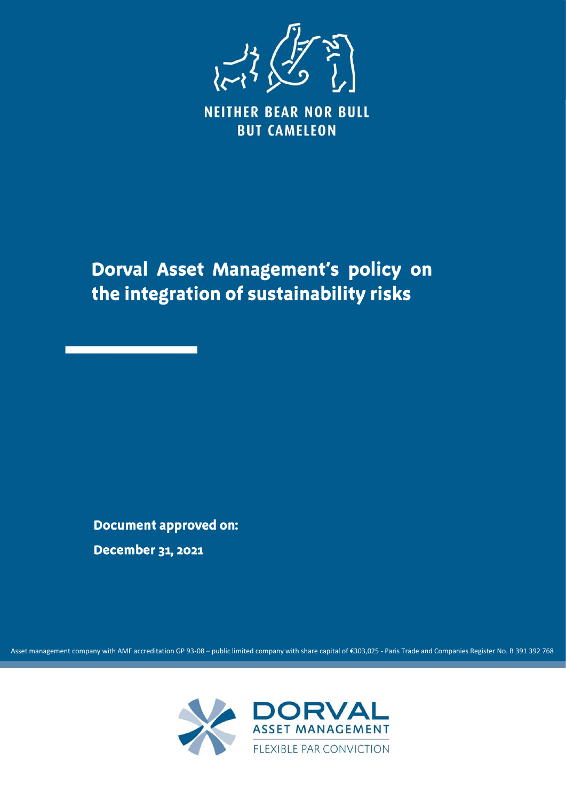

**NEITHER BEAR NOR BULL BUT CAMELEON** 

Dorval Asset Management's policy on the integration of sustainability risks

**Document approved on: December 31, 2021** 

Asset management company with AMF accreditation GP 93-08 – public limited company with share capital of €303,025 - Paris Trade and Companies Register No. B 391 392 768

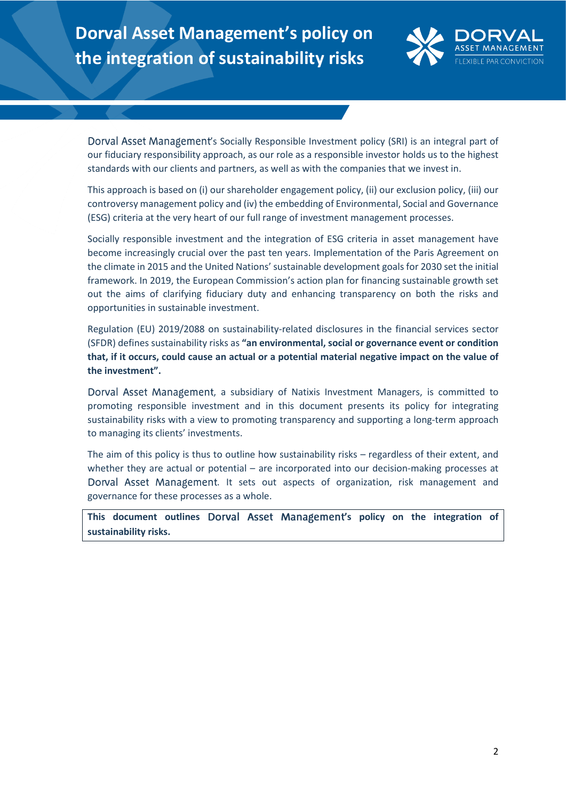# **Dorval Asset Management's policy on the integration of sustainability risks**



Dorval Asset Management's Socially Responsible Investment policy (SRI) is an integral part of our fiduciary responsibility approach, as our role as a responsible investor holds us to the highest standards with our clients and partners, as well as with the companies that we invest in.

This approach is based on (i) our shareholder engagement policy, (ii) our exclusion policy, (iii) our controversy management policy and (iv) the embedding of Environmental, Social and Governance (ESG) criteria at the very heart of our full range of investment management processes.

Socially responsible investment and the integration of ESG criteria in asset management have become increasingly crucial over the past ten years. Implementation of the Paris Agreement on the climate in 2015 and the United Nations' sustainable development goals for 2030 set the initial framework. In 2019, the European Commission's action plan for financing sustainable growth set out the aims of clarifying fiduciary duty and enhancing transparency on both the risks and opportunities in sustainable investment.

Regulation (EU) 2019/2088 on sustainability‐related disclosures in the financial services sector (SFDR) defines sustainability risks as **"an environmental, social or governance event or condition that, if it occurs, could cause an actual or a potential material negative impact on the value of the investment".**

Dorval Asset Management, a subsidiary of Natixis Investment Managers, is committed to promoting responsible investment and in this document presents its policy for integrating sustainability risks with a view to promoting transparency and supporting a long-term approach to managing its clients' investments.

The aim of this policy is thus to outline how sustainability risks – regardless of their extent, and whether they are actual or potential – are incorporated into our decision-making processes at Dorval Asset Management. It sets out aspects of organization, risk management and governance for these processes as a whole.

This document outlines Dorval Asset Management's policy on the integration of **sustainability risks.**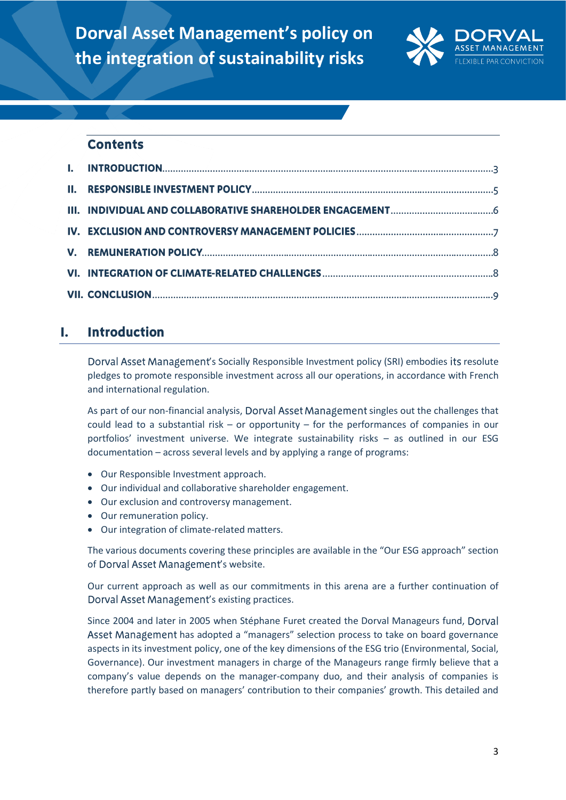

### **Contents**

#### L. **Introduction**

Dorval Asset Management's Socially Responsible Investment policy (SRI) embodies its resolute pledges to promote responsible investment across all our operations, in accordance with French and international regulation.

As part of our non-financial analysis, Dorval Asset Management singles out the challenges that could lead to a substantial risk – or opportunity – for the performances of companies in our portfolios' investment universe. We integrate sustainability risks – as outlined in our ESG documentation – across several levels and by applying a range of programs:

- Our Responsible Investment approach.
- Our individual and collaborative shareholder engagement.
- Our exclusion and controversy management.
- Our remuneration policy.
- Our integration of climate-related matters.

The various documents covering these principles are available in the "Our ESG approach" section of Dorval Asset Management's website.

Our current approach as well as our commitments in this arena are a further continuation of Dorval Asset Management's existing practices.

Since 2004 and later in 2005 when Stéphane Furet created the Dorval Manageurs fund, Asset Management has adopted a "managers" selection process to take on board governance aspects in its investment policy, one of the key dimensions of the ESG trio (Environmental, Social, Governance). Our investment managers in charge of the Manageurs range firmly believe that a company's value depends on the manager-company duo, and their analysis of companies is therefore partly based on managers' contribution to their companies' growth. This detailed and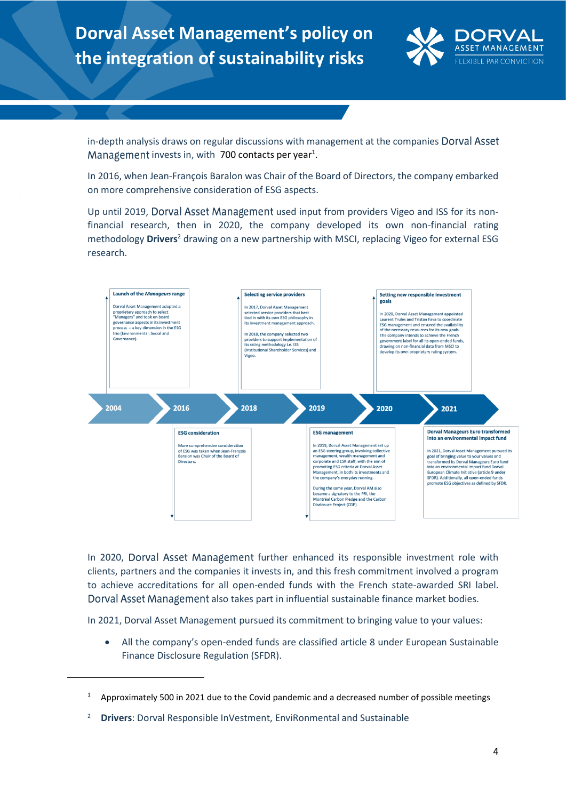

in-depth analysis draws on regular discussions with management at the companies Dorval Asset invests in, with  $700$  contacts per year<sup>1</sup>.

In 2016, when Jean-François Baralon was Chair of the Board of Directors, the company embarked on more comprehensive consideration of ESG aspects.

Up until 2019, Dorval Asset Management used input from providers Vigeo and ISS for its nonfinancial research, then in 2020, the company developed its own non-financial rating methodology **Drivers**<sup>2</sup> drawing on a new partnership with MSCI, replacing Vigeo for external ESG research.



In 2020, Dorval Asset Management further enhanced its responsible investment role with clients, partners and the companies it invests in, and this fresh commitment involved a program to achieve accreditations for all open-ended funds with the French state-awarded SRI label. Dorval Asset Management also takes part in influential sustainable finance market bodies.

In 2021, Dorval Asset Management pursued its commitment to bringing value to your values:

• All the company's open-ended funds are classified article 8 under European Sustainable Finance Disclosure Regulation (SFDR).

<sup>&</sup>lt;sup>1</sup> Approximately 500 in 2021 due to the Covid pandemic and a decreased number of possible meetings

<sup>2</sup> **Drivers**: Dorval Responsible InVestment, EnviRonmental and Sustainable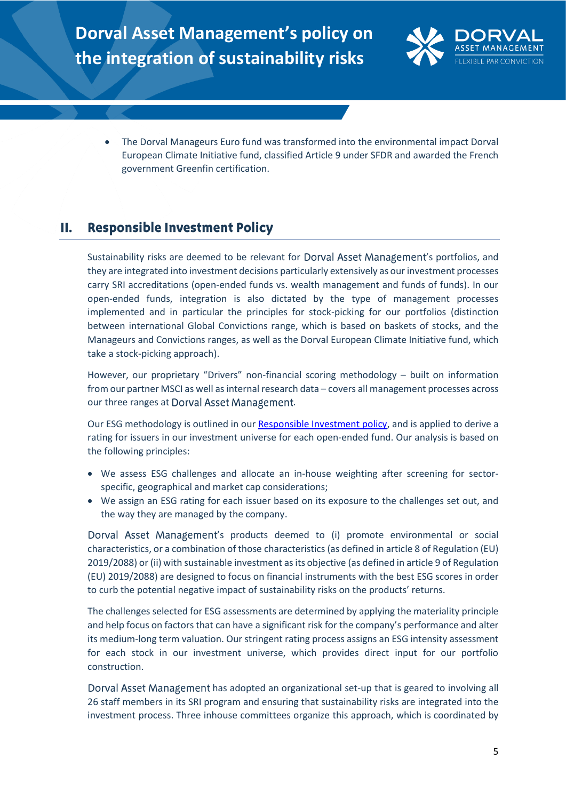

• The Dorval Manageurs Euro fund was transformed into the environmental impact Dorval European Climate Initiative fund, classified Article 9 under SFDR and awarded the French government Greenfin certification.

#### Н. **Responsible Investment Policy**

Sustainability risks are deemed to be relevant for Dorval Asset Management's portfolios, and they are integrated into investment decisions particularly extensively as our investment processes carry SRI accreditations (open-ended funds vs. wealth management and funds of funds). In our open-ended funds, integration is also dictated by the type of management processes implemented and in particular the principles for stock-picking for our portfolios (distinction between international Global Convictions range, which is based on baskets of stocks, and the Manageurs and Convictions ranges, as well as the Dorval European Climate Initiative fund, which take a stock-picking approach).

However, our proprietary "Drivers" non-financial scoring methodology – built on information from our partner MSCI as well as internal research data – covers all management processes across our three ranges at Dorval Asset Management.

Our ESG methodology is outlined in ou[r Responsible Investment policy,](https://www.dorval-am.com/sites/dorval/files/responsible_investment_policy_0.pdf) and is applied to derive a rating for issuers in our investment universe for each open-ended fund. Our analysis is based on the following principles:

- We assess ESG challenges and allocate an in-house weighting after screening for sectorspecific, geographical and market cap considerations;
- We assign an ESG rating for each issuer based on its exposure to the challenges set out, and the way they are managed by the company.

Dorval Asset Management's products deemed to (i) promote environmental or social characteristics, or a combination of those characteristics (as defined in article 8 of Regulation (EU) 2019/2088) or (ii) with sustainable investment as its objective (as defined in article 9 of Regulation (EU) 2019/2088) are designed to focus on financial instruments with the best ESG scores in order to curb the potential negative impact of sustainability risks on the products' returns.

The challenges selected for ESG assessments are determined by applying the materiality principle and help focus on factors that can have a significant risk for the company's performance and alter its medium-long term valuation. Our stringent rating process assigns an ESG intensity assessment for each stock in our investment universe, which provides direct input for our portfolio construction.

Dorval Asset Management has adopted an organizational set-up that is geared to involving all 26 staff members in its SRI program and ensuring that sustainability risks are integrated into the investment process. Three inhouse committees organize this approach, which is coordinated by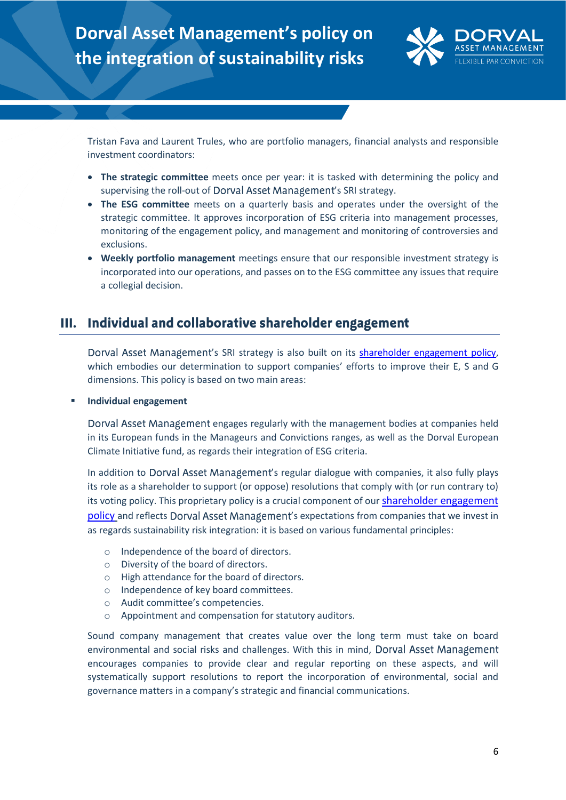

Tristan Fava and Laurent Trules, who are portfolio managers, financial analysts and responsible investment coordinators:

- **The strategic committee** meets once per year: it is tasked with determining the policy and supervising the roll-out of Dorval Asset Management's SRI strategy.
- **The ESG committee** meets on a quarterly basis and operates under the oversight of the strategic committee. It approves incorporation of ESG criteria into management processes, monitoring of the engagement policy, and management and monitoring of controversies and exclusions.
- **Weekly portfolio management** meetings ensure that our responsible investment strategy is incorporated into our operations, and passes on to the ESG committee any issues that require a collegial decision.

# III. Individual and collaborative shareholder engagement

Dorval Asset Management's SRI strategy is also built on its [shareholder engagement policy,](https://www.dorval-am.com/sites/dorval/files/shareholder_engagement_policy_0.pdf) which embodies our determination to support companies' efforts to improve their E, S and G dimensions. This policy is based on two main areas:

### ▪ **Individual engagement**

Dorval Asset Management engages regularly with the management bodies at companies held in its European funds in the Manageurs and Convictions ranges, as well as the Dorval European Climate Initiative fund, as regards their integration of ESG criteria.

In addition to Dorval Asset Management's regular dialogue with companies, it also fully plays its role as a shareholder to support (or oppose) resolutions that comply with (or run contrary to) its voting policy. This proprietary policy is a crucial component of our [shareholder engagement](https://www.dorval-am.com/sites/dorval/files/shareholder_engagement_policy_0.pdf)  [policy](https://www.dorval-am.com/sites/dorval/files/shareholder_engagement_policy_0.pdf) and reflects Dorval Asset Management's expectations from companies that we invest in as regards sustainability risk integration: it is based on various fundamental principles:

- o Independence of the board of directors.
- o Diversity of the board of directors.
- o High attendance for the board of directors.
- o Independence of key board committees.
- o Audit committee's competencies.
- o Appointment and compensation for statutory auditors.

Sound company management that creates value over the long term must take on board environmental and social risks and challenges. With this in mind, Dorval Asset Management encourages companies to provide clear and regular reporting on these aspects, and will systematically support resolutions to report the incorporation of environmental, social and governance matters in a company's strategic and financial communications.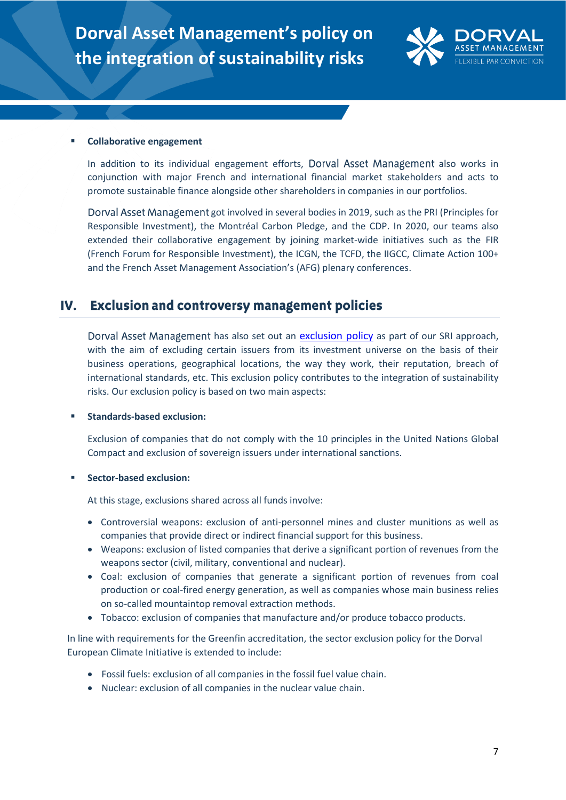

### **Collaborative engagement**

In addition to its individual engagement efforts, Dorval Asset Management also works in conjunction with major French and international financial market stakeholders and acts to promote sustainable finance alongside other shareholders in companies in our portfolios.

Dorval Asset Management got involved in several bodies in 2019, such as the PRI (Principles for Responsible Investment), the Montréal Carbon Pledge, and the CDP. In 2020, our teams also extended their collaborative engagement by joining market-wide initiatives such as the FIR (French Forum for Responsible Investment), the ICGN, the TCFD, the IIGCC, Climate Action 100+ and the French Asset Management Association's (AFG) plenary conferences.

#### **Exclusion and controversy management policies** IV.

Dorval Asset Management has also set out an [exclusion policy](https://www.dorval-am.com/sites/dorval/files/exclusion_policy_0.pdf) as part of our SRI approach, with the aim of excluding certain issuers from its investment universe on the basis of their business operations, geographical locations, the way they work, their reputation, breach of international standards, etc. This exclusion policy contributes to the integration of sustainability risks. Our exclusion policy is based on two main aspects:

### ▪ **Standards-based exclusion:**

Exclusion of companies that do not comply with the 10 principles in the United Nations Global Compact and exclusion of sovereign issuers under international sanctions.

### ▪ **Sector-based exclusion:**

At this stage, exclusions shared across all funds involve:

- Controversial weapons: exclusion of anti-personnel mines and cluster munitions as well as companies that provide direct or indirect financial support for this business.
- Weapons: exclusion of listed companies that derive a significant portion of revenues from the weapons sector (civil, military, conventional and nuclear).
- Coal: exclusion of companies that generate a significant portion of revenues from coal production or coal-fired energy generation, as well as companies whose main business relies on so-called mountaintop removal extraction methods.
- Tobacco: exclusion of companies that manufacture and/or produce tobacco products.

In line with requirements for the Greenfin accreditation, the sector exclusion policy for the Dorval European Climate Initiative is extended to include:

- Fossil fuels: exclusion of all companies in the fossil fuel value chain.
- Nuclear: exclusion of all companies in the nuclear value chain.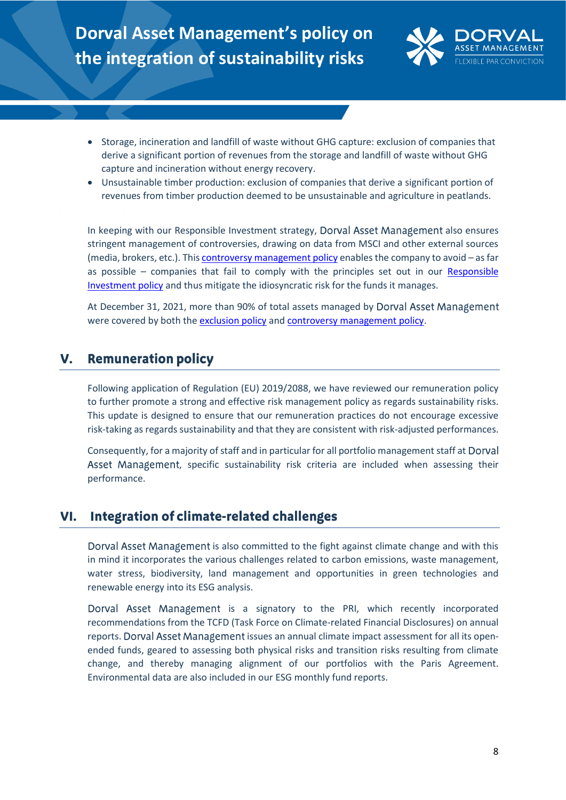

- Storage, incineration and landfill of waste without GHG capture: exclusion of companies that derive a significant portion of revenues from the storage and landfill of waste without GHG capture and incineration without energy recovery.
- Unsustainable timber production: exclusion of companies that derive a significant portion of revenues from timber production deemed to be unsustainable and agriculture in peatlands.

In keeping with our Responsible Investment strategy, Dorval Asset Management also ensures stringent management of controversies, drawing on data from MSCI and other external sources (media, brokers, etc.). Thi[s controversy management policy](https://www.dorval-am.com/sites/dorval/files/controversy_management_policy_0.pdf) enables the company to avoid – as far as possible  $-$  companies that fail to comply with the principles set out in our Responsible [Investment policy](https://www.dorval-am.com/sites/dorval/files/responsible_investment_policy_0.pdf) and thus mitigate the idiosyncratic risk for the funds it manages.

At December 31, 2021, more than 90% of total assets managed by Dorval Asset Management were covered by both the [exclusion policy](https://www.dorval-am.com/sites/dorval/files/exclusion_policy_0.pdf) and [controversy management policy.](https://www.dorval-am.com/sites/dorval/files/controversy_management_policy_0.pdf)

#### **Remuneration policy** V.

Following application of Regulation (EU) 2019/2088, we have reviewed our remuneration policy to further promote a strong and effective risk management policy as regards sustainability risks. This update is designed to ensure that our remuneration practices do not encourage excessive risk-taking as regards sustainability and that they are consistent with risk-adjusted performances.

Consequently, for a majority of staff and in particular for all portfolio management staff at Asset Management, specific sustainability risk criteria are included when assessing their performance.

#### Integration of climate-related challenges VI.

Dorval Asset Management is also committed to the fight against climate change and with this in mind it incorporates the various challenges related to carbon emissions, waste management, water stress, biodiversity, land management and opportunities in green technologies and renewable energy into its ESG analysis.

Dorval Asset Management is a signatory to the PRI, which recently incorporated recommendations from the TCFD (Task Force on Climate-related Financial Disclosures) on annual reports. Dorval Asset Management issues an annual climate impact assessment for all its openended funds, geared to assessing both physical risks and transition risks resulting from climate change, and thereby managing alignment of our portfolios with the Paris Agreement. Environmental data are also included in our ESG monthly fund reports.